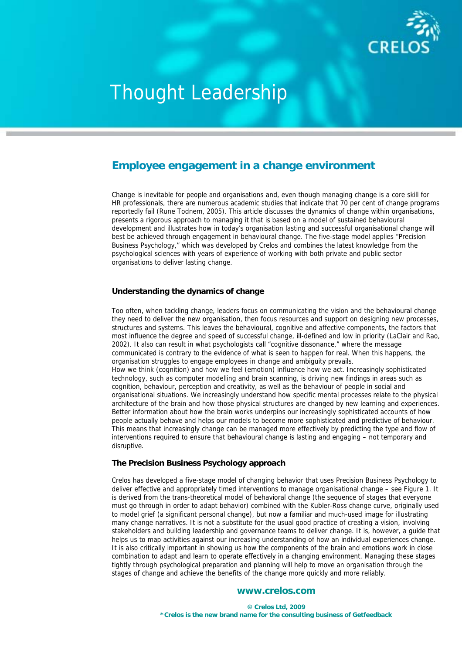

## **Employee engagement in a change environment**

Change is inevitable for people and organisations and, even though managing change is a core skill for HR professionals, there are numerous academic studies that indicate that 70 per cent of change programs reportedly fail (Rune Todnem, 2005). This article discusses the dynamics of change within organisations, presents a rigorous approach to managing it that is based on a model of sustained behavioural development and illustrates how in today's organisation lasting and successful organisational change will best be achieved through engagement in behavioural change. The five-stage model applies "Precision Business Psychology," which was developed by Crelos and combines the latest knowledge from the psychological sciences with years of experience of working with both private and public sector organisations to deliver lasting change.

## **Understanding the dynamics of change**

Too often, when tackling change, leaders focus on communicating the vision and the behavioural change they need to deliver the new organisation, then focus resources and support on designing new processes, structures and systems. This leaves the behavioural, cognitive and affective components, the factors that most influence the degree and speed of successful change, ill-defined and low in priority (LaClair and Rao, 2002). It also can result in what psychologists call "cognitive dissonance," where the message communicated is contrary to the evidence of what is seen to happen for real. When this happens, the organisation struggles to engage employees in change and ambiguity prevails. How we think (cognition) and how we feel (emotion) influence how we act. Increasingly sophisticated technology, such as computer modelling and brain scanning, is driving new findings in areas such as cognition, behaviour, perception and creativity, as well as the behaviour of people in social and organisational situations. We increasingly understand how specific mental processes relate to the physical architecture of the brain and how those physical structures are changed by new learning and experiences. Better information about how the brain works underpins our increasingly sophisticated accounts of how people actually behave and helps our models to become more sophisticated and predictive of behaviour. This means that increasingly change can be managed more effectively by predicting the type and flow of interventions required to ensure that behavioural change is lasting and engaging – not temporary and disruptive.

## **The Precision Business Psychology approach**

Crelos has developed a five-stage model of changing behavior that uses Precision Business Psychology to deliver effective and appropriately timed interventions to manage organisational change – see Figure 1. It is derived from the trans-theoretical model of behavioral change (the sequence of stages that everyone must go through in order to adapt behavior) combined with the Kubler-Ross change curve, originally used to model grief (a significant personal change), but now a familiar and much-used image for illustrating many change narratives. It is not a substitute for the usual good practice of creating a vision, involving stakeholders and building leadership and governance teams to deliver change. It is, however, a guide that helps us to map activities against our increasing understanding of how an individual experiences change. It is also critically important in showing us how the components of the brain and emotions work in close combination to adapt and learn to operate effectively in a changing environment. Managing these stages tightly through psychological preparation and planning will help to move an organisation through the stages of change and achieve the benefits of the change more quickly and more reliably.

## **www.crelos.com**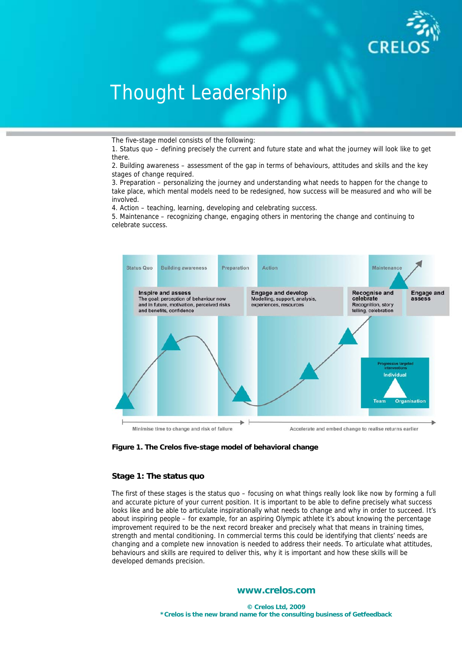

The five-stage model consists of the following:

1. Status quo – defining precisely the current and future state and what the journey will look like to get there.

2. Building awareness – assessment of the gap in terms of behaviours, attitudes and skills and the key stages of change required.

3. Preparation – personalizing the journey and understanding what needs to happen for the change to take place, which mental models need to be redesigned, how success will be measured and who will be involved.

4. Action – teaching, learning, developing and celebrating success.

5. Maintenance – recognizing change, engaging others in mentoring the change and continuing to celebrate success.





## **Stage 1: The status quo**

The first of these stages is the status quo – focusing on what things really look like now by forming a full and accurate picture of your current position. It is important to be able to define precisely what success looks like and be able to articulate inspirationally what needs to change and why in order to succeed. It's about inspiring people – for example, for an aspiring Olympic athlete it's about knowing the percentage improvement required to be the next record breaker and precisely what that means in training times, strength and mental conditioning. In commercial terms this could be identifying that clients' needs are changing and a complete new innovation is needed to address their needs. To articulate what attitudes, behaviours and skills are required to deliver this, why it is important and how these skills will be developed demands precision.

## **www.crelos.com**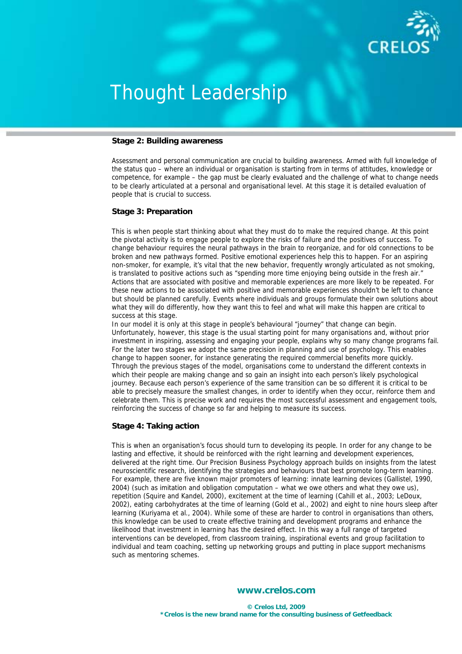

### **Stage 2: Building awareness**

Assessment and personal communication are crucial to building awareness. Armed with full knowledge of the status quo – where an individual or organisation is starting from in terms of attitudes, knowledge or competence, for example – the gap must be clearly evaluated and the challenge of what to change needs to be clearly articulated at a personal and organisational level. At this stage it is detailed evaluation of people that is crucial to success.

### **Stage 3: Preparation**

This is when people start thinking about what they must do to make the required change. At this point the pivotal activity is to engage people to explore the risks of failure and the positives of success. To change behaviour requires the neural pathways in the brain to reorganize, and for old connections to be broken and new pathways formed. Positive emotional experiences help this to happen. For an aspiring non-smoker, for example, it's vital that the new behavior, frequently wrongly articulated as not smoking, is translated to positive actions such as "spending more time enjoying being outside in the fresh air." Actions that are associated with positive and memorable experiences are more likely to be repeated. For these new actions to be associated with positive and memorable experiences shouldn't be left to chance but should be planned carefully. Events where individuals and groups formulate their own solutions about what they will do differently, how they want this to feel and what will make this happen are critical to success at this stage.

In our model it is only at this stage in people's behavioural "journey" that change can begin. Unfortunately, however, this stage is the usual starting point for many organisations and, without prior investment in inspiring, assessing and engaging your people, explains why so many change programs fail. For the later two stages we adopt the same precision in planning and use of psychology. This enables change to happen sooner, for instance generating the required commercial benefits more quickly. Through the previous stages of the model, organisations come to understand the different contexts in which their people are making change and so gain an insight into each person's likely psychological journey. Because each person's experience of the same transition can be so different it is critical to be able to precisely measure the smallest changes, in order to identify when they occur, reinforce them and celebrate them. This is precise work and requires the most successful assessment and engagement tools, reinforcing the success of change so far and helping to measure its success.

### **Stage 4: Taking action**

This is when an organisation's focus should turn to developing its people. In order for any change to be lasting and effective, it should be reinforced with the right learning and development experiences, delivered at the right time. Our Precision Business Psychology approach builds on insights from the latest neuroscientific research, identifying the strategies and behaviours that best promote long-term learning. For example, there are five known major promoters of learning: innate learning devices (Gallistel, 1990, 2004) (such as imitation and obligation computation – what we owe others and what they owe us), repetition (Squire and Kandel, 2000), excitement at the time of learning (Cahill et al., 2003; LeDoux, 2002), eating carbohydrates at the time of learning (Gold et al., 2002) and eight to nine hours sleep after learning (Kuriyama et al., 2004). While some of these are harder to control in organisations than others, this knowledge can be used to create effective training and development programs and enhance the likelihood that investment in learning has the desired effect. In this way a full range of targeted interventions can be developed, from classroom training, inspirational events and group facilitation to individual and team coaching, setting up networking groups and putting in place support mechanisms such as mentoring schemes.

## **www.crelos.com**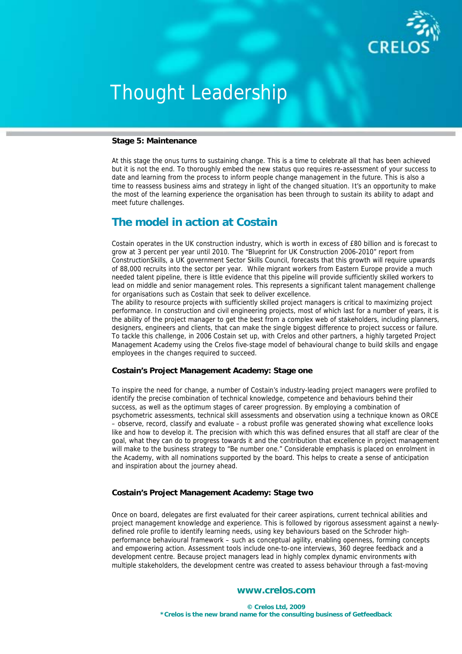

### **Stage 5: Maintenance**

At this stage the onus turns to sustaining change. This is a time to celebrate all that has been achieved but it is not the end. To thoroughly embed the new status quo requires re-assessment of your success to date and learning from the process to inform people change management in the future. This is also a time to reassess business aims and strategy in light of the changed situation. It's an opportunity to make the most of the learning experience the organisation has been through to sustain its ability to adapt and meet future challenges.

## **The model in action at Costain**

Costain operates in the UK construction industry, which is worth in excess of £80 billion and is forecast to grow at 3 percent per year until 2010. The "Blueprint for UK Construction 2006-2010" report from ConstructionSkills, a UK government Sector Skills Council, forecasts that this growth will require upwards of 88,000 recruits into the sector per year. While migrant workers from Eastern Europe provide a much needed talent pipeline, there is little evidence that this pipeline will provide sufficiently skilled workers to lead on middle and senior management roles. This represents a significant talent management challenge for organisations such as Costain that seek to deliver excellence.

The ability to resource projects with sufficiently skilled project managers is critical to maximizing project performance. In construction and civil engineering projects, most of which last for a number of years, it is the ability of the project manager to get the best from a complex web of stakeholders, including planners, designers, engineers and clients, that can make the single biggest difference to project success or failure. To tackle this challenge, in 2006 Costain set up, with Crelos and other partners, a highly targeted Project Management Academy using the Crelos five-stage model of behavioural change to build skills and engage employees in the changes required to succeed.

## **Costain's Project Management Academy: Stage one**

To inspire the need for change, a number of Costain's industry-leading project managers were profiled to identify the precise combination of technical knowledge, competence and behaviours behind their success, as well as the optimum stages of career progression. By employing a combination of psychometric assessments, technical skill assessments and observation using a technique known as ORCE – observe, record, classify and evaluate – a robust profile was generated showing what excellence looks like and how to develop it. The precision with which this was defined ensures that all staff are clear of the goal, what they can do to progress towards it and the contribution that excellence in project management will make to the business strategy to "Be number one." Considerable emphasis is placed on enrolment in the Academy, with all nominations supported by the board. This helps to create a sense of anticipation and inspiration about the journey ahead.

## **Costain's Project Management Academy: Stage two**

Once on board, delegates are first evaluated for their career aspirations, current technical abilities and project management knowledge and experience. This is followed by rigorous assessment against a newlydefined role profile to identify learning needs, using key behaviours based on the Schroder highperformance behavioural framework – such as conceptual agility, enabling openness, forming concepts and empowering action. Assessment tools include one-to-one interviews, 360 degree feedback and a development centre. Because project managers lead in highly complex dynamic environments with multiple stakeholders, the development centre was created to assess behaviour through a fast-moving

## **www.crelos.com**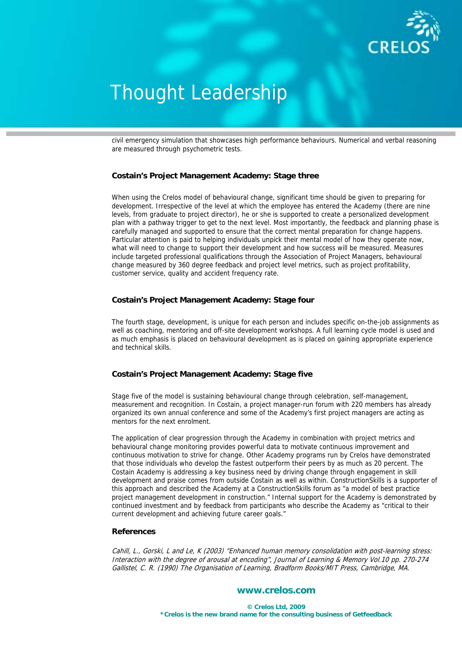

civil emergency simulation that showcases high performance behaviours. Numerical and verbal reasoning are measured through psychometric tests.

## **Costain's Project Management Academy: Stage three**

When using the Crelos model of behavioural change, significant time should be given to preparing for development. Irrespective of the level at which the employee has entered the Academy (there are nine levels, from graduate to project director), he or she is supported to create a personalized development plan with a pathway trigger to get to the next level. Most importantly, the feedback and planning phase is carefully managed and supported to ensure that the correct mental preparation for change happens. Particular attention is paid to helping individuals unpick their mental model of how they operate now, what will need to change to support their development and how success will be measured. Measures include targeted professional qualifications through the Association of Project Managers, behavioural change measured by 360 degree feedback and project level metrics, such as project profitability, customer service, quality and accident frequency rate.

## **Costain's Project Management Academy: Stage four**

The fourth stage, development, is unique for each person and includes specific on-the-job assignments as well as coaching, mentoring and off-site development workshops. A full learning cycle model is used and as much emphasis is placed on behavioural development as is placed on gaining appropriate experience and technical skills.

## **Costain's Project Management Academy: Stage five**

Stage five of the model is sustaining behavioural change through celebration, self-management, measurement and recognition. In Costain, a project manager-run forum with 220 members has already organized its own annual conference and some of the Academy's first project managers are acting as mentors for the next enrolment.

The application of clear progression through the Academy in combination with project metrics and behavioural change monitoring provides powerful data to motivate continuous improvement and continuous motivation to strive for change. Other Academy programs run by Crelos have demonstrated that those individuals who develop the fastest outperform their peers by as much as 20 percent. The Costain Academy is addressing a key business need by driving change through engagement in skill development and praise comes from outside Costain as well as within. ConstructionSkills is a supporter of this approach and described the Academy at a ConstructionSkills forum as "a model of best practice project management development in construction." Internal support for the Academy is demonstrated by continued investment and by feedback from participants who describe the Academy as "critical to their current development and achieving future career goals."

### **References**

Cahill, L., Gorski, L and Le, K (2003) "Enhanced human memory consolidation with post-learning stress: Interaction with the degree of arousal at encoding", Journal of Learning & Memory Vol.10 pp. 270-274 Gallistel, C. R. (1990) The Organisation of Learning, Bradform Books/MIT Press, Cambridge, MA.

## **www.crelos.com**